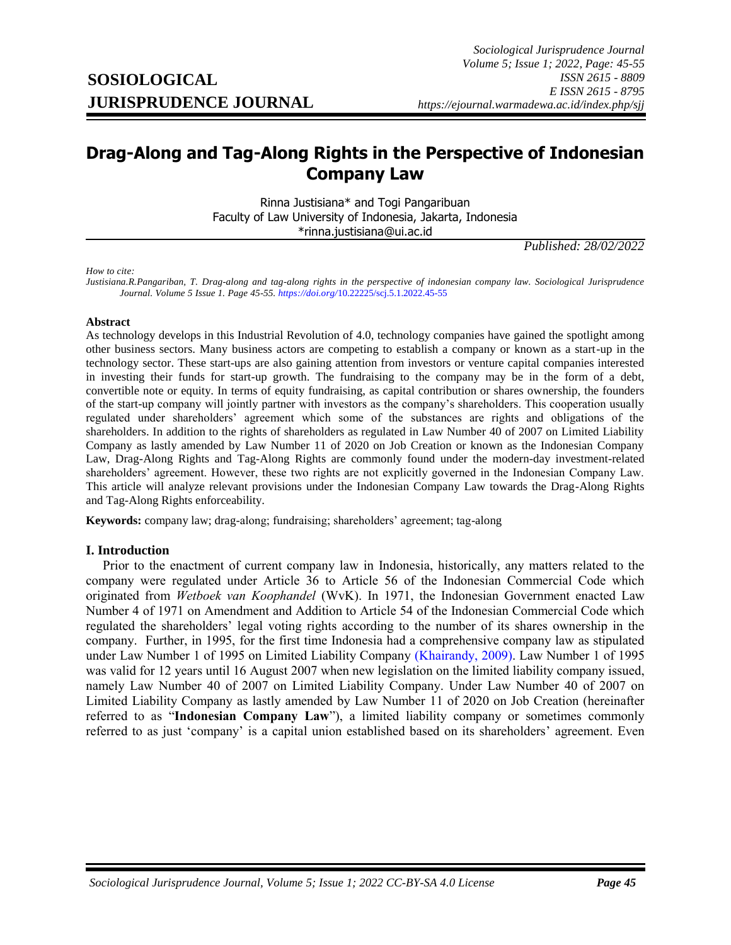# <span id="page-0-0"></span>**Drag-Along and Tag-Along Rights in the Perspective of Indonesian Company Law**

Rinna Justisiana\* and Togi Pangaribuan Faculty of Law University of Indonesia, Jakarta, Indonesia \*rinna.justisiana@ui.ac.id

*Published: 28/02/2022*

*How to cite:*

*Justisiana.R.Pangariban, T. Drag-along and tag-along rights in the perspective of indonesian company law. Sociological Jurisprudence Journal. Volume 5 Issue 1. Page 45-55. https://doi.org/*[10.22225/scj.5.1.2022.45-55](https://doi.org/10.22225/scj.5.1.2022.45-55)

#### **Abstract**

As technology develops in this Industrial Revolution of 4.0, technology companies have gained the spotlight among other business sectors. Many business actors are competing to establish a company or known as a start-up in the technology sector. These start-ups are also gaining attention from investors or venture capital companies interested in investing their funds for start-up growth. The fundraising to the company may be in the form of a debt, convertible note or equity. In terms of equity fundraising, as capital contribution or shares ownership, the founders of the start-up company will jointly partner with investors as the company's shareholders. This cooperation usually regulated under shareholders' agreement which some of the substances are rights and obligations of the shareholders. In addition to the rights of shareholders as regulated in Law Number 40 of 2007 on Limited Liability Company as lastly amended by Law Number 11 of 2020 on Job Creation or known as the Indonesian Company Law, Drag-Along Rights and Tag-Along Rights are commonly found under the modern-day investment-related shareholders' agreement. However, these two rights are not explicitly governed in the Indonesian Company Law. This article will analyze relevant provisions under the Indonesian Company Law towards the Drag-Along Rights and Tag-Along Rights enforceability.

**Keywords:** company law; drag-along; fundraising; shareholders' agreement; tag-along

#### **I. Introduction**

Prior to the enactment of current company law in Indonesia, historically, any matters related to the company were regulated under Article 36 to Article 56 of the Indonesian Commercial Code which originated from *Wetboek van Koophandel* (WvK). In 1971, the Indonesian Government enacted Law Number 4 of 1971 on Amendment and Addition to Article 54 of the Indonesian Commercial Code which regulated the shareholders' legal voting rights according to the number of its shares ownership in the company. Further, in 1995, for the first time Indonesia had a comprehensive company law as stipulated under Law Number 1 of 1995 on Limited Liability Company [\(Khairandy, 2009\).](#page-0-0) Law Number 1 of 1995 was valid for 12 years until 16 August 2007 when new legislation on the limited liability company issued, namely Law Number 40 of 2007 on Limited Liability Company. Under Law Number 40 of 2007 on Limited Liability Company as lastly amended by Law Number 11 of 2020 on Job Creation (hereinafter referred to as "**Indonesian Company Law**"), a limited liability company or sometimes commonly referred to as just 'company' is a capital union established based on its shareholders' agreement. Even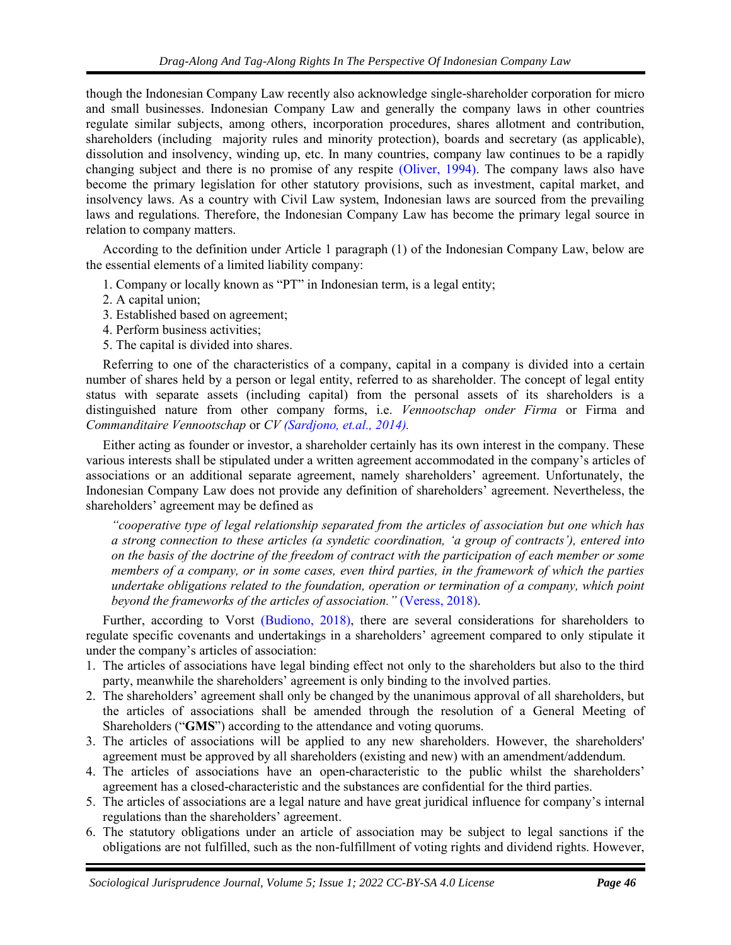though the Indonesian Company Law recently also acknowledge single-shareholder corporation for micro and small businesses. Indonesian Company Law and generally the company laws in other countries regulate similar subjects, among others, incorporation procedures, shares allotment and contribution, shareholders (including majority rules and minority protection), boards and secretary (as applicable), dissolution and insolvency, winding up, etc. In many countries, company law continues to be a rapidly changing subject and there is no promise of any respite [\(Oliver, 1994\).](#page-5-0) The company laws also have become the primary legislation for other statutory provisions, such as investment, capital market, and insolvency laws. As a country with Civil Law system, Indonesian laws are sourced from the prevailing laws and regulations. Therefore, the Indonesian Company Law has become the primary legal source in relation to company matters.

According to the definition under Article 1 paragraph (1) of the Indonesian Company Law, below are the essential elements of a limited liability company:

- 1. Company or locally known as "PT" in Indonesian term, is a legal entity;
- 2. A capital union;
- 3. Established based on agreement;
- 4. Perform business activities;
- 5. The capital is divided into shares.

Referring to one of the characteristics of a company, capital in a company is divided into a certain number of shares held by a person or legal entity, referred to as shareholder. The concept of legal entity status with separate assets (including capital) from the personal assets of its shareholders is a distinguished nature from other company forms, i.e. *Vennootschap onder Firma* or Firma and *Commanditaire Vennootschap* or *C[V \(Sardjono, et.al., 2014\).](#page-5-0)* 

Either acting as founder or investor, a shareholder certainly has its own interest in the company. These various interests shall be stipulated under a written agreement accommodated in the company's articles of associations or an additional separate agreement, namely shareholders' agreement. Unfortunately, the Indonesian Company Law does not provide any definition of shareholders' agreement. Nevertheless, the shareholders' agreement may be defined as

*"cooperative type of legal relationship separated from the articles of association but one which has a strong connection to these articles (a syndetic coordination, 'a group of contracts'), entered into on the basis of the doctrine of the freedom of contract with the participation of each member or some members of a company, or in some cases, even third parties, in the framework of which the parties undertake obligations related to the foundation, operation or termination of a company, which point beyond the frameworks of the articles of association."* [\(Veress, 2018\).](#page-5-0)

Further, according to Vorst [\(Budiono, 2018\),](#page-5-0) there are several considerations for shareholders to regulate specific covenants and undertakings in a shareholders' agreement compared to only stipulate it under the company's articles of association:

- 1. The articles of associations have legal binding effect not only to the shareholders but also to the third party, meanwhile the shareholders' agreement is only binding to the involved parties.
- 2. The shareholders' agreement shall only be changed by the unanimous approval of all shareholders, but the articles of associations shall be amended through the resolution of a General Meeting of Shareholders ("**GMS**") according to the attendance and voting quorums.
- 3. The articles of associations will be applied to any new shareholders. However, the shareholders' agreement must be approved by all shareholders (existing and new) with an amendment/addendum.
- 4. The articles of associations have an open-characteristic to the public whilst the shareholders' agreement has a closed-characteristic and the substances are confidential for the third parties.
- 5. The articles of associations are a legal nature and have great juridical influence for company's internal regulations than the shareholders' agreement.
- 6. The statutory obligations under an article of association may be subject to legal sanctions if the obligations are not fulfilled, such as the non-fulfillment of voting rights and dividend rights. However,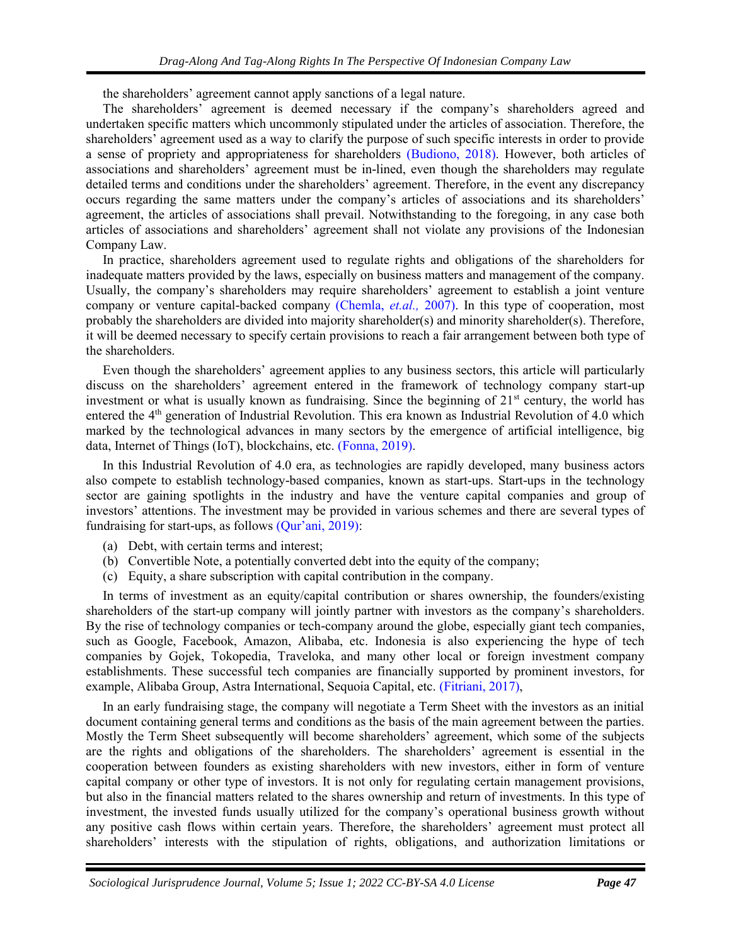the shareholders' agreement cannot apply sanctions of a legal nature.

The shareholders' agreement is deemed necessary if the company's shareholders agreed and undertaken specific matters which uncommonly stipulated under the articles of association. Therefore, the shareholders' agreement used as a way to clarify the purpose of such specific interests in order to provide a sense of propriety and appropriateness for shareholders [\(Budiono, 2018\).](#page-5-0) However, both articles of associations and shareholders' agreement must be in-lined, even though the shareholders may regulate detailed terms and conditions under the shareholders' agreement. Therefore, in the event any discrepancy occurs regarding the same matters under the company's articles of associations and its shareholders' agreement, the articles of associations shall prevail. Notwithstanding to the foregoing, in any case both articles of associations and shareholders' agreement shall not violate any provisions of the Indonesian Company Law.

In practice, shareholders agreement used to regulate rights and obligations of the shareholders for inadequate matters provided by the laws, especially on business matters and management of the company. Usually, the company's shareholders may require shareholders' agreement to establish a joint venture company or venture capital-backed company [\(Chemla,](#page-5-0) *et.al.,* 2007). In this type of cooperation, most probably the shareholders are divided into majority shareholder(s) and minority shareholder(s). Therefore, it will be deemed necessary to specify certain provisions to reach a fair arrangement between both type of the shareholders.

Even though the shareholders' agreement applies to any business sectors, this article will particularly discuss on the shareholders' agreement entered in the framework of technology company start-up investment or what is usually known as fundraising. Since the beginning of 21<sup>st</sup> century, the world has entered the 4<sup>th</sup> generation of Industrial Revolution. This era known as Industrial Revolution of 4.0 which marked by the technological advances in many sectors by the emergence of artificial intelligence, big data, Internet of Things (IoT), blockchains, etc. [\(Fonna, 2019\).](#page-5-0)

In this Industrial Revolution of 4.0 era, as technologies are rapidly developed, many business actors also compete to establish technology-based companies, known as start-ups. Start-ups in the technology sector are gaining spotlights in the industry and have the venture capital companies and group of investors' attentions. The investment may be provided in various schemes and there are several types of fundraising for start-ups, as follows [\(Qur'ani, 2019\):](#page-5-0)

- (a) Debt, with certain terms and interest;
- (b) Convertible Note, a potentially converted debt into the equity of the company;
- (c) Equity, a share subscription with capital contribution in the company.

In terms of investment as an equity/capital contribution or shares ownership, the founders/existing shareholders of the start-up company will jointly partner with investors as the company's shareholders. By the rise of technology companies or tech-company around the globe, especially giant tech companies, such as Google, Facebook, Amazon, Alibaba, etc. Indonesia is also experiencing the hype of tech companies by Gojek, Tokopedia, Traveloka, and many other local or foreign investment company establishments. These successful tech companies are financially supported by prominent investors, for example, Alibaba Group, Astra International, Sequoia Capital, etc. [\(Fitriani, 2017\),](#page-5-0)

In an early fundraising stage, the company will negotiate a Term Sheet with the investors as an initial document containing general terms and conditions as the basis of the main agreement between the parties. Mostly the Term Sheet subsequently will become shareholders' agreement, which some of the subjects are the rights and obligations of the shareholders. The shareholders' agreement is essential in the cooperation between founders as existing shareholders with new investors, either in form of venture capital company or other type of investors. It is not only for regulating certain management provisions, but also in the financial matters related to the shares ownership and return of investments. In this type of investment, the invested funds usually utilized for the company's operational business growth without any positive cash flows within certain years. Therefore, the shareholders' agreement must protect all shareholders' interests with the stipulation of rights, obligations, and authorization limitations or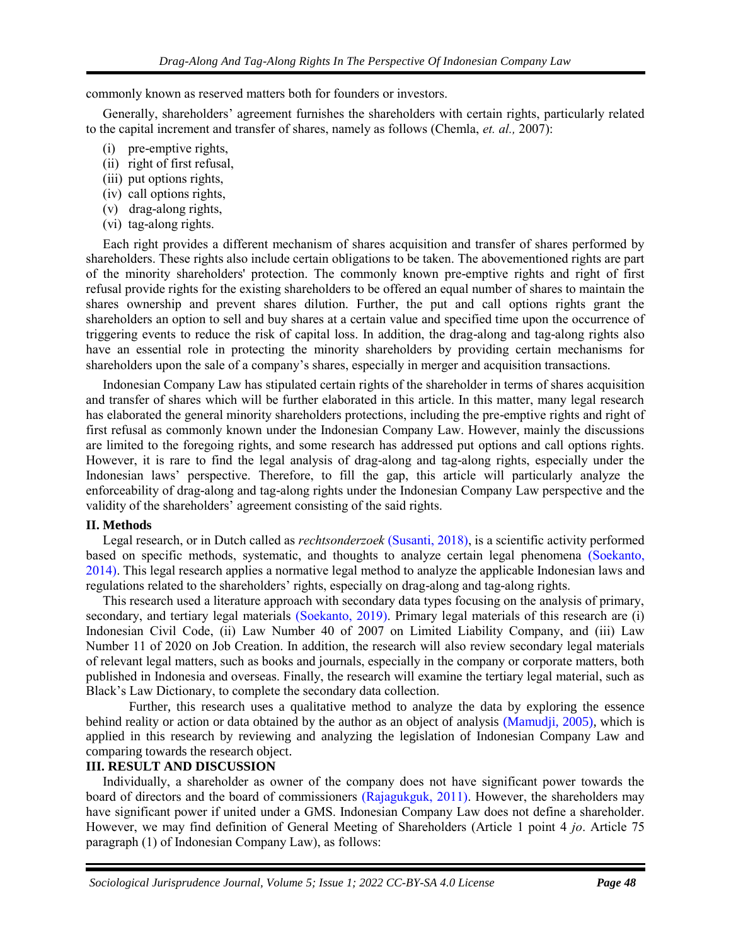commonly known as reserved matters both for founders or investors.

Generally, shareholders' agreement furnishes the shareholders with certain rights, particularly related to the capital increment and transfer of shares, namely as follows (Chemla, *et. al.,* 2007):

- (i) pre-emptive rights,
- (ii) right of first refusal,
- (iii) put options rights,
- (iv) call options rights,
- (v) drag-along rights,
- (vi) tag-along rights.

Each right provides a different mechanism of shares acquisition and transfer of shares performed by shareholders. These rights also include certain obligations to be taken. The abovementioned rights are part of the minority shareholders' protection. The commonly known pre-emptive rights and right of first refusal provide rights for the existing shareholders to be offered an equal number of shares to maintain the shares ownership and prevent shares dilution. Further, the put and call options rights grant the shareholders an option to sell and buy shares at a certain value and specified time upon the occurrence of triggering events to reduce the risk of capital loss. In addition, the drag-along and tag-along rights also have an essential role in protecting the minority shareholders by providing certain mechanisms for shareholders upon the sale of a company's shares, especially in merger and acquisition transactions.

Indonesian Company Law has stipulated certain rights of the shareholder in terms of shares acquisition and transfer of shares which will be further elaborated in this article. In this matter, many legal research has elaborated the general minority shareholders protections, including the pre-emptive rights and right of first refusal as commonly known under the Indonesian Company Law. However, mainly the discussions are limited to the foregoing rights, and some research has addressed put options and call options rights. However, it is rare to find the legal analysis of drag-along and tag-along rights, especially under the Indonesian laws' perspective. Therefore, to fill the gap, this article will particularly analyze the enforceability of drag-along and tag-along rights under the Indonesian Company Law perspective and the validity of the shareholders' agreement consisting of the said rights.

### **II. Methods**

Legal research, or in Dutch called as *rechtsonderzoek* [\(Susanti, 2018\),](#page-5-0) is a scientific activity performed based on specific methods, systematic, and thoughts to analyze certain legal phenomena [\(Soekanto,](#page-5-0)  [2014\).](#page-5-0) This legal research applies a normative legal method to analyze the applicable Indonesian laws and regulations related to the shareholders' rights, especially on drag-along and tag-along rights.

This research used a literature approach with secondary data types focusing on the analysis of primary, secondary, and tertiary legal materials [\(Soekanto, 2019\).](#page-5-0) Primary legal materials of this research are (i) Indonesian Civil Code, (ii) Law Number 40 of 2007 on Limited Liability Company, and (iii) Law Number 11 of 2020 on Job Creation. In addition, the research will also review secondary legal materials of relevant legal matters, such as books and journals, especially in the company or corporate matters, both published in Indonesia and overseas. Finally, the research will examine the tertiary legal material, such as Black's Law Dictionary, to complete the secondary data collection.

Further, this research uses a qualitative method to analyze the data by exploring the essence behind reality or action or data obtained by the author as an object of analysis [\(Mamudji, 2005\),](#page-5-0) which is applied in this research by reviewing and analyzing the legislation of Indonesian Company Law and comparing towards the research object.

# **III. RESULT AND DISCUSSION**

Individually, a shareholder as owner of the company does not have significant power towards the board of directors and the board of commissioners [\(Rajagukguk, 2011\).](#page-5-0) However, the shareholders may have significant power if united under a GMS. Indonesian Company Law does not define a shareholder. However, we may find definition of General Meeting of Shareholders (Article 1 point 4 *jo*. Article 75 paragraph (1) of Indonesian Company Law), as follows: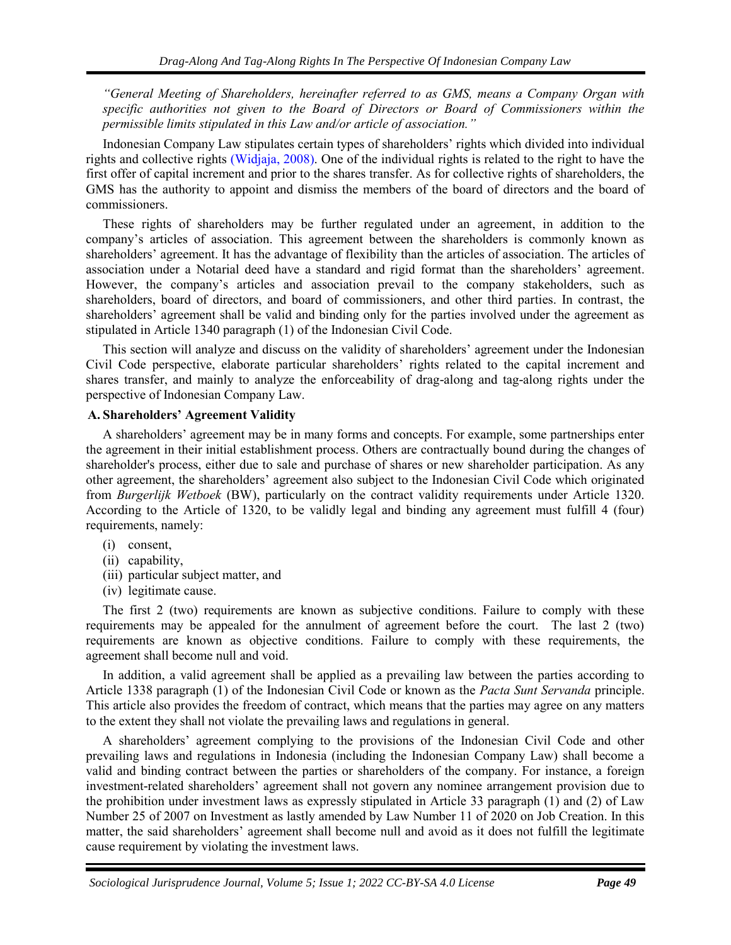*"General Meeting of Shareholders, hereinafter referred to as GMS, means a Company Organ with specific authorities not given to the Board of Directors or Board of Commissioners within the permissible limits stipulated in this Law and/or article of association."*

Indonesian Company Law stipulates certain types of shareholders' rights which divided into individual rights and collective rights [\(Widjaja, 2008\).](#page-5-0) One of the individual rights is related to the right to have the first offer of capital increment and prior to the shares transfer. As for collective rights of shareholders, the GMS has the authority to appoint and dismiss the members of the board of directors and the board of commissioners.

These rights of shareholders may be further regulated under an agreement, in addition to the company's articles of association. This agreement between the shareholders is commonly known as shareholders' agreement. It has the advantage of flexibility than the articles of association. The articles of association under a Notarial deed have a standard and rigid format than the shareholders' agreement. However, the company's articles and association prevail to the company stakeholders, such as shareholders, board of directors, and board of commissioners, and other third parties. In contrast, the shareholders' agreement shall be valid and binding only for the parties involved under the agreement as stipulated in Article 1340 paragraph (1) of the Indonesian Civil Code.

This section will analyze and discuss on the validity of shareholders' agreement under the Indonesian Civil Code perspective, elaborate particular shareholders' rights related to the capital increment and shares transfer, and mainly to analyze the enforceability of drag-along and tag-along rights under the perspective of Indonesian Company Law.

### **A. Shareholders' Agreement Validity**

A shareholders' agreement may be in many forms and concepts. For example, some partnerships enter the agreement in their initial establishment process. Others are contractually bound during the changes of shareholder's process, either due to sale and purchase of shares or new shareholder participation. As any other agreement, the shareholders' agreement also subject to the Indonesian Civil Code which originated from *Burgerlijk Wetboek* (BW), particularly on the contract validity requirements under Article 1320. According to the Article of 1320, to be validly legal and binding any agreement must fulfill 4 (four) requirements, namely:

- (i) consent,
- (ii) capability,
- (iii) particular subject matter, and
- (iv) legitimate cause.

The first 2 (two) requirements are known as subjective conditions. Failure to comply with these requirements may be appealed for the annulment of agreement before the court. The last 2 (two) requirements are known as objective conditions. Failure to comply with these requirements, the agreement shall become null and void.

In addition, a valid agreement shall be applied as a prevailing law between the parties according to Article 1338 paragraph (1) of the Indonesian Civil Code or known as the *Pacta Sunt Servanda* principle. This article also provides the freedom of contract, which means that the parties may agree on any matters to the extent they shall not violate the prevailing laws and regulations in general.

A shareholders' agreement complying to the provisions of the Indonesian Civil Code and other prevailing laws and regulations in Indonesia (including the Indonesian Company Law) shall become a valid and binding contract between the parties or shareholders of the company. For instance, a foreign investment-related shareholders' agreement shall not govern any nominee arrangement provision due to the prohibition under investment laws as expressly stipulated in Article 33 paragraph (1) and (2) of Law Number 25 of 2007 on Investment as lastly amended by Law Number 11 of 2020 on Job Creation. In this matter, the said shareholders' agreement shall become null and avoid as it does not fulfill the legitimate cause requirement by violating the investment laws.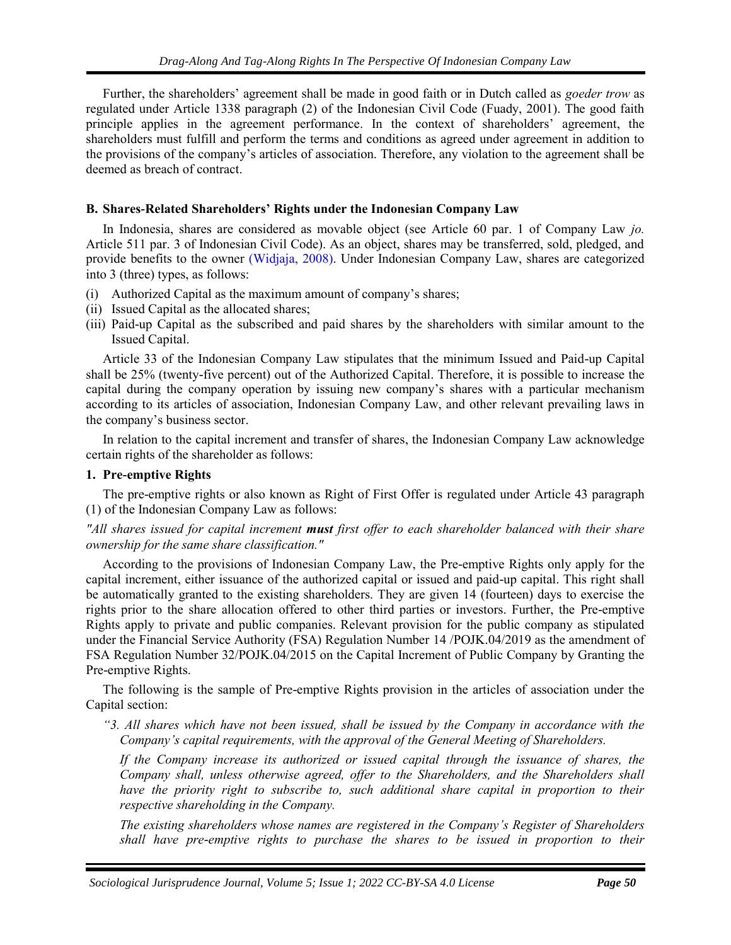Further, the shareholders' agreement shall be made in good faith or in Dutch called as *goeder trow* as regulated under Article 1338 paragraph (2) of the Indonesian Civil Code (Fuady, 2001). The good faith principle applies in the agreement performance. In the context of shareholders' agreement, the shareholders must fulfill and perform the terms and conditions as agreed under agreement in addition to the provisions of the company's articles of association. Therefore, any violation to the agreement shall be deemed as breach of contract.

### **B. Shares-Related Shareholders' Rights under the Indonesian Company Law**

<span id="page-5-0"></span>In Indonesia, shares are considered as movable object (see Article 60 par. 1 of Company Law *jo.* Article 511 par. 3 of Indonesian Civil Code). As an object, shares may be transferred, sold, pledged, and provide benefits to the owner [\(Widjaja, 2008\).](#page-5-0) Under Indonesian Company Law, shares are categorized into 3 (three) types, as follows:

- (i) Authorized Capital as the maximum amount of company's shares;
- (ii) Issued Capital as the allocated shares;
- (iii) Paid-up Capital as the subscribed and paid shares by the shareholders with similar amount to the Issued Capital.

Article 33 of the Indonesian Company Law stipulates that the minimum Issued and Paid-up Capital shall be 25% (twenty-five percent) out of the Authorized Capital. Therefore, it is possible to increase the capital during the company operation by issuing new company's shares with a particular mechanism according to its articles of association, Indonesian Company Law, and other relevant prevailing laws in the company's business sector.

In relation to the capital increment and transfer of shares, the Indonesian Company Law acknowledge certain rights of the shareholder as follows:

### **1. Pre-emptive Rights**

The pre-emptive rights or also known as Right of First Offer is regulated under Article 43 paragraph (1) of the Indonesian Company Law as follows:

### *"All shares issued for capital increment must first offer to each shareholder balanced with their share ownership for the same share classification."*

According to the provisions of Indonesian Company Law, the Pre-emptive Rights only apply for the capital increment, either issuance of the authorized capital or issued and paid-up capital. This right shall be automatically granted to the existing shareholders. They are given 14 (fourteen) days to exercise the rights prior to the share allocation offered to other third parties or investors. Further, the Pre-emptive Rights apply to private and public companies. Relevant provision for the public company as stipulated under the Financial Service Authority (FSA) Regulation Number 14 /POJK.04/2019 as the amendment of FSA Regulation Number 32/POJK.04/2015 on the Capital Increment of Public Company by Granting the Pre-emptive Rights.

The following is the sample of Pre-emptive Rights provision in the articles of association under the Capital section:

*"3. All shares which have not been issued, shall be issued by the Company in accordance with the Company's capital requirements, with the approval of the General Meeting of Shareholders.*

*If the Company increase its authorized or issued capital through the issuance of shares, the Company shall, unless otherwise agreed, offer to the Shareholders, and the Shareholders shall have the priority right to subscribe to, such additional share capital in proportion to their respective shareholding in the Company.* 

*The existing shareholders whose names are registered in the Company's Register of Shareholders shall have pre-emptive rights to purchase the shares to be issued in proportion to their*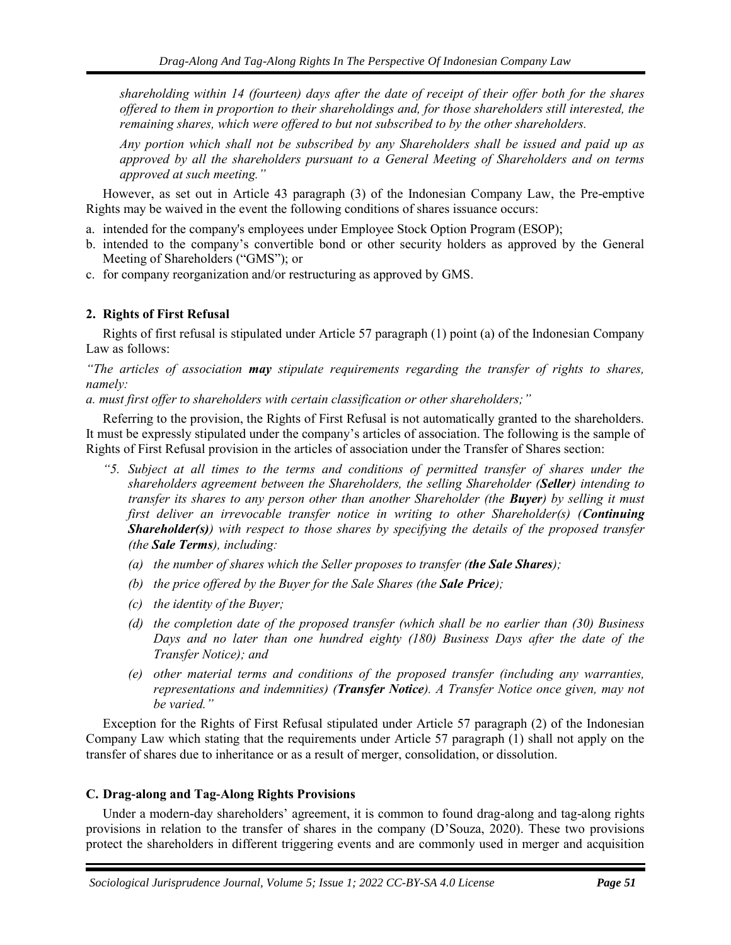*shareholding within 14 (fourteen) days after the date of receipt of their offer both for the shares offered to them in proportion to their shareholdings and, for those shareholders still interested, the remaining shares, which were offered to but not subscribed to by the other shareholders.*

*Any portion which shall not be subscribed by any Shareholders shall be issued and paid up as approved by all the shareholders pursuant to a General Meeting of Shareholders and on terms approved at such meeting."*

However, as set out in Article 43 paragraph (3) of the Indonesian Company Law, the Pre-emptive Rights may be waived in the event the following conditions of shares issuance occurs:

- a. intended for the company's employees under Employee Stock Option Program (ESOP);
- b. intended to the company's convertible bond or other security holders as approved by the General Meeting of Shareholders ("GMS"); or
- c. for company reorganization and/or restructuring as approved by GMS.

# **2. Rights of First Refusal**

Rights of first refusal is stipulated under Article 57 paragraph (1) point (a) of the Indonesian Company Law as follows:

*"The articles of association may stipulate requirements regarding the transfer of rights to shares, namely:* 

*a. must first offer to shareholders with certain classification or other shareholders;"*

Referring to the provision, the Rights of First Refusal is not automatically granted to the shareholders. It must be expressly stipulated under the company's articles of association. The following is the sample of Rights of First Refusal provision in the articles of association under the Transfer of Shares section:

- *"5. Subject at all times to the terms and conditions of permitted transfer of shares under the shareholders agreement between the Shareholders, the selling Shareholder (Seller) intending to transfer its shares to any person other than another Shareholder (the Buyer) by selling it must first deliver an irrevocable transfer notice in writing to other Shareholder(s) (Continuing Shareholder(s)) with respect to those shares by specifying the details of the proposed transfer (the Sale Terms), including:* 
	- *(a) the number of shares which the Seller proposes to transfer (the Sale Shares);*
	- *(b) the price offered by the Buyer for the Sale Shares (the Sale Price);*
	- *(c) the identity of the Buyer;*
	- *(d) the completion date of the proposed transfer (which shall be no earlier than (30) Business Days and no later than one hundred eighty (180) Business Days after the date of the Transfer Notice); and*
	- *(e) other material terms and conditions of the proposed transfer (including any warranties, representations and indemnities) (Transfer Notice). A Transfer Notice once given, may not be varied."*

Exception for the Rights of First Refusal stipulated under Article 57 paragraph (2) of the Indonesian Company Law which stating that the requirements under Article 57 paragraph (1) shall not apply on the transfer of shares due to inheritance or as a result of merger, consolidation, or dissolution.

# **C. Drag-along and Tag-Along Rights Provisions**

Under a modern-day shareholders' agreement, it is common to found drag-along and tag-along rights provisions in relation to the transfer of shares in the company (D'Souza, 2020). These two provisions protect the shareholders in different triggering events and are commonly used in merger and acquisition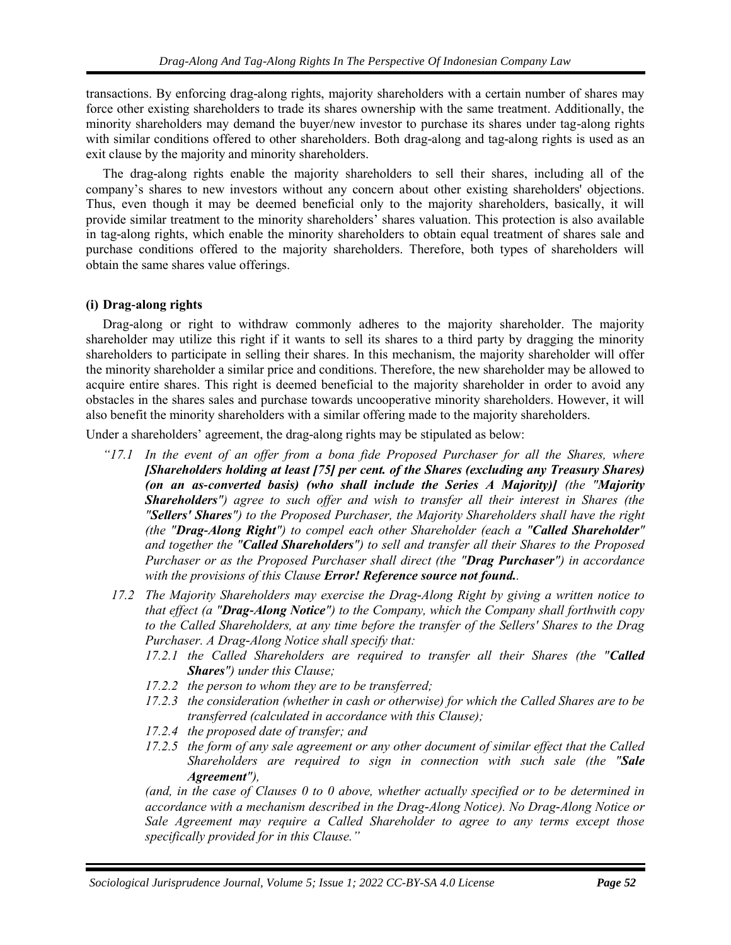transactions. By enforcing drag-along rights, majority shareholders with a certain number of shares may force other existing shareholders to trade its shares ownership with the same treatment. Additionally, the minority shareholders may demand the buyer/new investor to purchase its shares under tag-along rights with similar conditions offered to other shareholders. Both drag-along and tag-along rights is used as an exit clause by the majority and minority shareholders.

The drag-along rights enable the majority shareholders to sell their shares, including all of the company's shares to new investors without any concern about other existing shareholders' objections. Thus, even though it may be deemed beneficial only to the majority shareholders, basically, it will provide similar treatment to the minority shareholders' shares valuation. This protection is also available in tag-along rights, which enable the minority shareholders to obtain equal treatment of shares sale and purchase conditions offered to the majority shareholders. Therefore, both types of shareholders will obtain the same shares value offerings.

### **(i) Drag-along rights**

Drag-along or right to withdraw commonly adheres to the majority shareholder. The majority shareholder may utilize this right if it wants to sell its shares to a third party by dragging the minority shareholders to participate in selling their shares. In this mechanism, the majority shareholder will offer the minority shareholder a similar price and conditions. Therefore, the new shareholder may be allowed to acquire entire shares. This right is deemed beneficial to the majority shareholder in order to avoid any obstacles in the shares sales and purchase towards uncooperative minority shareholders. However, it will also benefit the minority shareholders with a similar offering made to the majority shareholders.

Under a shareholders' agreement, the drag-along rights may be stipulated as below:

- *"17.1 In the event of an offer from a bona fide Proposed Purchaser for all the Shares, where [Shareholders holding at least [75] per cent. of the Shares (excluding any Treasury Shares) (on an as-converted basis) (who shall include the Series A Majority)] (the "Majority Shareholders") agree to such offer and wish to transfer all their interest in Shares (the "Sellers' Shares") to the Proposed Purchaser, the Majority Shareholders shall have the right (the "Drag-Along Right") to compel each other Shareholder (each a "Called Shareholder" and together the "Called Shareholders") to sell and transfer all their Shares to the Proposed Purchaser or as the Proposed Purchaser shall direct (the "Drag Purchaser") in accordance with the provisions of this Clause Error! Reference source not found..*
	- *17.2 The Majority Shareholders may exercise the Drag-Along Right by giving a written notice to that effect (a "Drag-Along Notice") to the Company, which the Company shall forthwith copy to the Called Shareholders, at any time before the transfer of the Sellers' Shares to the Drag Purchaser. A Drag-Along Notice shall specify that:* 
		- *17.2.1 the Called Shareholders are required to transfer all their Shares (the "Called Shares") under this Clause;*
		- *17.2.2 the person to whom they are to be transferred;*
		- *17.2.3 the consideration (whether in cash or otherwise) for which the Called Shares are to be transferred (calculated in accordance with this Clause);*
		- *17.2.4 the proposed date of transfer; and*
		- *17.2.5 the form of any sale agreement or any other document of similar effect that the Called Shareholders are required to sign in connection with such sale (the "Sale Agreement"),*

<span id="page-7-1"></span><span id="page-7-0"></span>*(and, in the case of Clauses [0](#page-7-0) to [0](#page-7-1) above, whether actually specified or to be determined in accordance with a mechanism described in the Drag-Along Notice). No Drag-Along Notice or Sale Agreement may require a Called Shareholder to agree to any terms except those specifically provided for in this Clause."*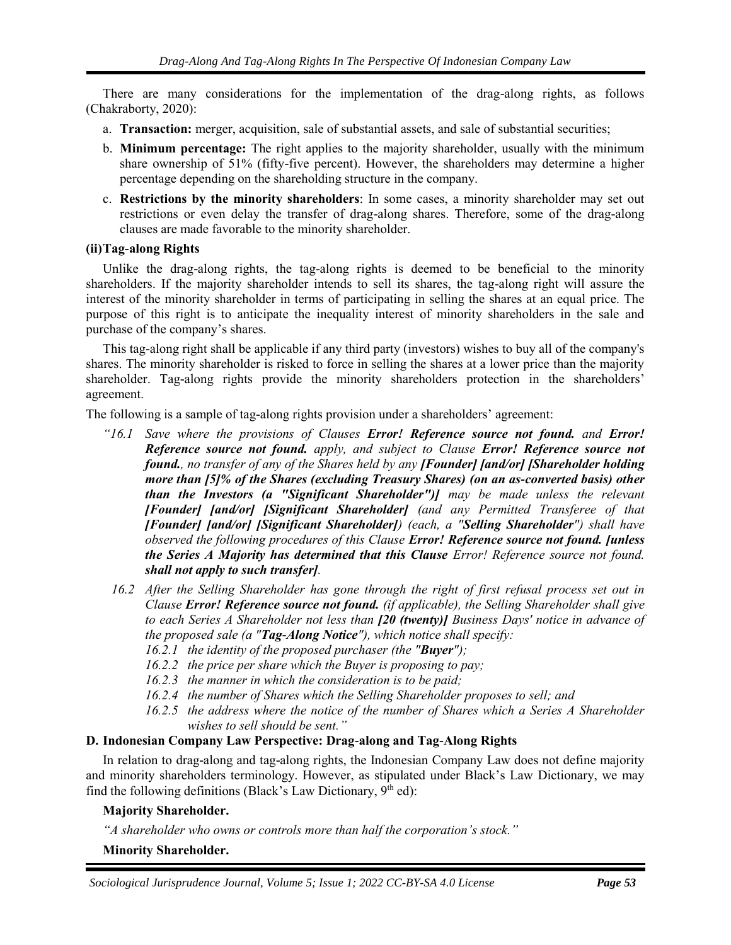There are many considerations for the implementation of the drag-along rights, as follows (Chakraborty, 2020):

- a. **Transaction:** merger, acquisition, sale of substantial assets, and sale of substantial securities;
- b. **Minimum percentage:** The right applies to the majority shareholder, usually with the minimum share ownership of 51% (fifty-five percent). However, the shareholders may determine a higher percentage depending on the shareholding structure in the company.
- c. **Restrictions by the minority shareholders**: In some cases, a minority shareholder may set out restrictions or even delay the transfer of drag-along shares. Therefore, some of the drag-along clauses are made favorable to the minority shareholder.

### **(ii)Tag-along Rights**

Unlike the drag-along rights, the tag-along rights is deemed to be beneficial to the minority shareholders. If the majority shareholder intends to sell its shares, the tag-along right will assure the interest of the minority shareholder in terms of participating in selling the shares at an equal price. The purpose of this right is to anticipate the inequality interest of minority shareholders in the sale and purchase of the company's shares.

This tag-along right shall be applicable if any third party (investors) wishes to buy all of the company's shares. The minority shareholder is risked to force in selling the shares at a lower price than the majority shareholder. Tag-along rights provide the minority shareholders protection in the shareholders' agreement.

The following is a sample of tag-along rights provision under a shareholders' agreement:

- *"16.1 Save where the provisions of Clauses Error! Reference source not found. and Error! Reference source not found. apply, and subject to Clause Error! Reference source not found., no transfer of any of the Shares held by any [Founder] [and/or] [Shareholder holding more than [5]% of the Shares (excluding Treasury Shares) (on an as-converted basis) other than the Investors (a "Significant Shareholder")] may be made unless the relevant [Founder] [and/or] [Significant Shareholder] (and any Permitted Transferee of that [Founder] [and/or] [Significant Shareholder]) (each, a "Selling Shareholder") shall have observed the following procedures of this Clause Error! Reference source not found. [unless the Series A Majority has determined that this Clause Error! Reference source not found. shall not apply to such transfer].*
- *16.2 After the Selling Shareholder has gone through the right of first refusal process set out in Clause Error! Reference source not found. (if applicable), the Selling Shareholder shall give to each Series A Shareholder not less than [20 (twenty)] Business Days' notice in advance of the proposed sale (a "Tag-Along Notice"), which notice shall specify:* 
	- *16.2.1 the identity of the proposed purchaser (the "Buyer");*
	- *16.2.2 the price per share which the Buyer is proposing to pay;*
	- *16.2.3 the manner in which the consideration is to be paid;*
	- *16.2.4 the number of Shares which the Selling Shareholder proposes to sell; and*
	- *16.2.5 the address where the notice of the number of Shares which a Series A Shareholder wishes to sell should be sent."*

# **D. Indonesian Company Law Perspective: Drag-along and Tag-Along Rights**

In relation to drag-along and tag-along rights, the Indonesian Company Law does not define majority and minority shareholders terminology. However, as stipulated under Black's Law Dictionary, we may find the following definitions (Black's Law Dictionary,  $9<sup>th</sup>$  ed):

# **Majority Shareholder.**

*"A shareholder who owns or controls more than half the corporation's stock."*

# **Minority Shareholder.**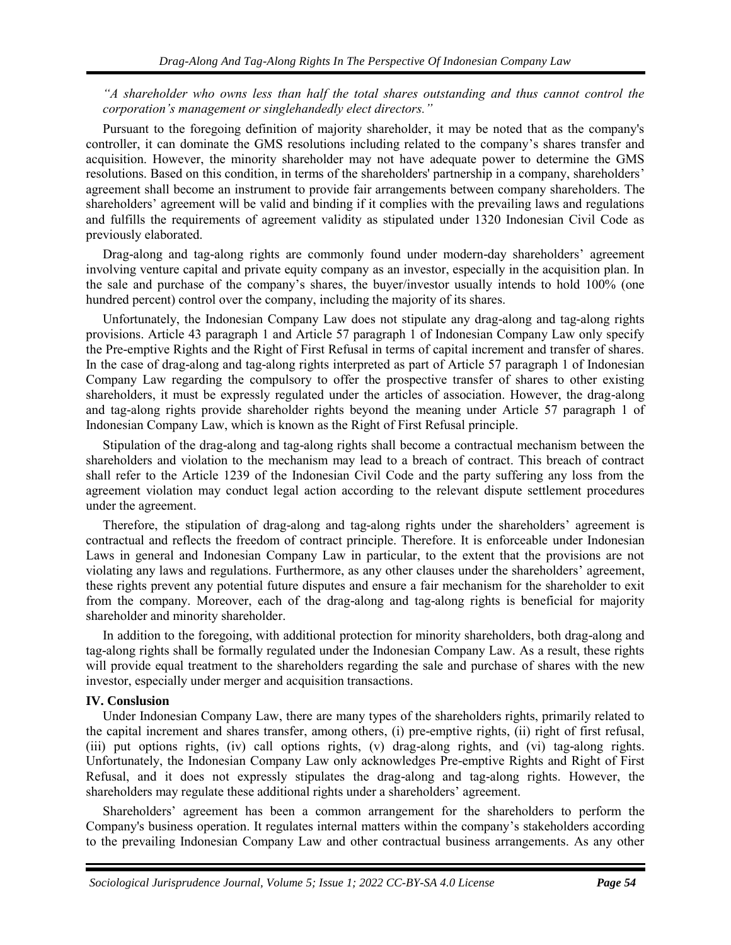*"A shareholder who owns less than half the total shares outstanding and thus cannot control the corporation's management or singlehandedly elect directors."*

Pursuant to the foregoing definition of majority shareholder, it may be noted that as the company's controller, it can dominate the GMS resolutions including related to the company's shares transfer and acquisition. However, the minority shareholder may not have adequate power to determine the GMS resolutions. Based on this condition, in terms of the shareholders' partnership in a company, shareholders' agreement shall become an instrument to provide fair arrangements between company shareholders. The shareholders' agreement will be valid and binding if it complies with the prevailing laws and regulations and fulfills the requirements of agreement validity as stipulated under 1320 Indonesian Civil Code as previously elaborated.

Drag-along and tag-along rights are commonly found under modern-day shareholders' agreement involving venture capital and private equity company as an investor, especially in the acquisition plan. In the sale and purchase of the company's shares, the buyer/investor usually intends to hold 100% (one hundred percent) control over the company, including the majority of its shares.

Unfortunately, the Indonesian Company Law does not stipulate any drag-along and tag-along rights provisions. Article 43 paragraph 1 and Article 57 paragraph 1 of Indonesian Company Law only specify the Pre-emptive Rights and the Right of First Refusal in terms of capital increment and transfer of shares. In the case of drag-along and tag-along rights interpreted as part of Article 57 paragraph 1 of Indonesian Company Law regarding the compulsory to offer the prospective transfer of shares to other existing shareholders, it must be expressly regulated under the articles of association. However, the drag-along and tag-along rights provide shareholder rights beyond the meaning under Article 57 paragraph 1 of Indonesian Company Law, which is known as the Right of First Refusal principle.

Stipulation of the drag-along and tag-along rights shall become a contractual mechanism between the shareholders and violation to the mechanism may lead to a breach of contract. This breach of contract shall refer to the Article 1239 of the Indonesian Civil Code and the party suffering any loss from the agreement violation may conduct legal action according to the relevant dispute settlement procedures under the agreement.

Therefore, the stipulation of drag-along and tag-along rights under the shareholders' agreement is contractual and reflects the freedom of contract principle. Therefore. It is enforceable under Indonesian Laws in general and Indonesian Company Law in particular, to the extent that the provisions are not violating any laws and regulations. Furthermore, as any other clauses under the shareholders' agreement, these rights prevent any potential future disputes and ensure a fair mechanism for the shareholder to exit from the company. Moreover, each of the drag-along and tag-along rights is beneficial for majority shareholder and minority shareholder.

In addition to the foregoing, with additional protection for minority shareholders, both drag-along and tag-along rights shall be formally regulated under the Indonesian Company Law. As a result, these rights will provide equal treatment to the shareholders regarding the sale and purchase of shares with the new investor, especially under merger and acquisition transactions.

#### **IV. Conslusion**

Under Indonesian Company Law, there are many types of the shareholders rights, primarily related to the capital increment and shares transfer, among others, (i) pre-emptive rights, (ii) right of first refusal, (iii) put options rights, (iv) call options rights, (v) drag-along rights, and (vi) tag-along rights. Unfortunately, the Indonesian Company Law only acknowledges Pre-emptive Rights and Right of First Refusal, and it does not expressly stipulates the drag-along and tag-along rights. However, the shareholders may regulate these additional rights under a shareholders' agreement.

Shareholders' agreement has been a common arrangement for the shareholders to perform the Company's business operation. It regulates internal matters within the company's stakeholders according to the prevailing Indonesian Company Law and other contractual business arrangements. As any other